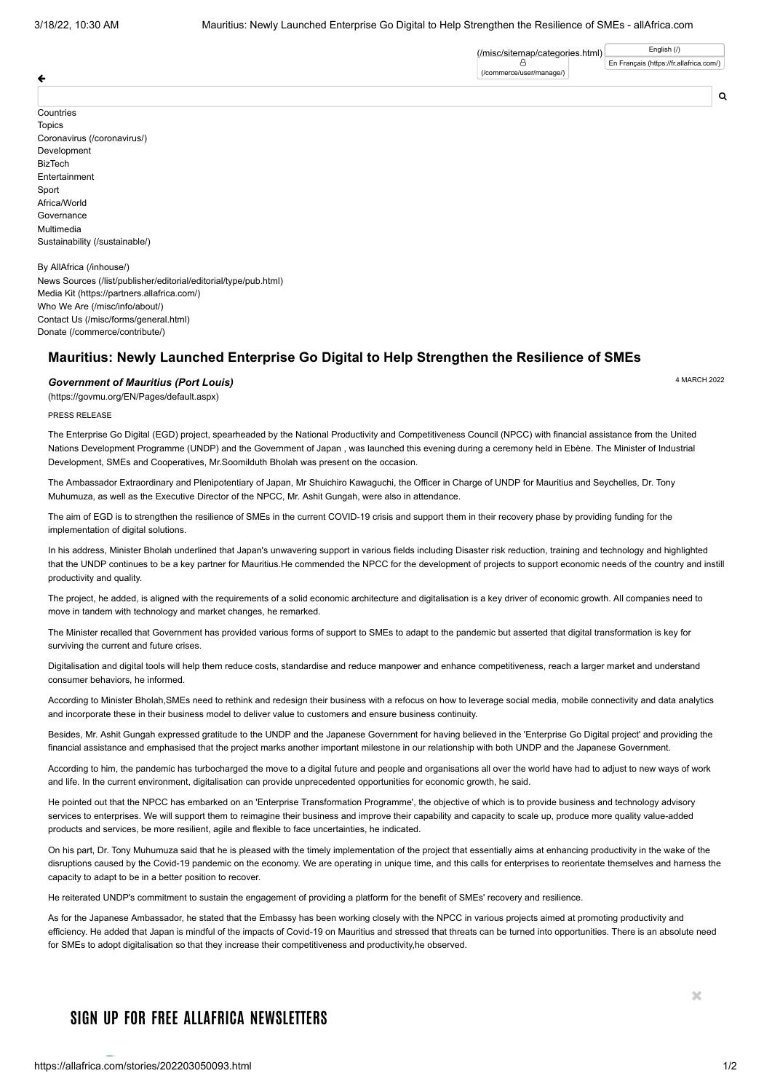[\(/misc/sitemap/categories.html\)](https://allafrica.com/misc/sitemap/categories.html) A [\(/commerce/user/manage/\)](https://allafrica.com/commerce/user/manage/)

€

Countries **Topics** [Coronavirus \(/coronavirus/\)](https://allafrica.com/coronavirus/) Development BizTech Entertainment Sport Africa/World Governance Multimedia [Sustainability \(/sustainable/\)](https://allafrica.com/sustainable/)

[By AllAfrica \(/inhouse/\)](https://allafrica.com/inhouse/) [News Sources \(/list/publisher/editorial/editorial/type/pub.html\)](https://allafrica.com/list/publisher/editorial/editorial/type/pub.html) [Media Kit \(https://partners.allafrica.com/\)](https://partners.allafrica.com/) [Who We Are \(/misc/info/about/\)](https://allafrica.com/misc/info/about/) [Contact Us \(/misc/forms/general.html\)](https://allafrica.com/misc/forms/general.html) [Donate \(/commerce/contribute/\)](https://allafrica.com/commerce/contribute/)

## **Mauritius: Newly Launched Enterprise Go Digital to Help Strengthen the Resilience of SMEs**

## 4 MARCH 2022 *[Government of Mauritius \(Port](https://govmu.org/EN/Pages/default.aspx) Louis)*

(https://govmu.org/EN/Pages/default.aspx)

PRESS RELEASE

The Enterprise Go Digital (EGD) project, spearheaded by the National Productivity and Competitiveness Council (NPCC) with financial assistance from the United Nations Development Programme (UNDP) and the Government of Japan , was launched this evening during a ceremony held in Ebène. The Minister of Industrial Development, SMEs and Cooperatives, Mr.Soomilduth Bholah was present on the occasion.

The Ambassador Extraordinary and Plenipotentiary of Japan, Mr Shuichiro Kawaguchi, the Officer in Charge of UNDP for Mauritius and Seychelles, Dr. Tony Muhumuza, as well as the Executive Director of the NPCC, Mr. Ashit Gungah, were also in attendance.

The aim of EGD is to strengthen the resilience of SMEs in the current COVID-19 crisis and support them in their recovery phase by providing funding for the implementation of digital solutions.

In his address, Minister Bholah underlined that Japan's unwavering support in various fields including Disaster risk reduction, training and technology and highlighted that the UNDP continues to be a key partner for Mauritius.He commended the NPCC for the development of projects to support economic needs of the country and instill productivity and quality.

The project, he added, is aligned with the requirements of a solid economic architecture and digitalisation is a key driver of economic growth. All companies need to move in tandem with technology and market changes, he remarked.

The Minister recalled that Government has provided various forms of support to SMEs to adapt to the pandemic but asserted that digital transformation is key for surviving the current and future crises.

Digitalisation and digital tools will help them reduce costs, standardise and reduce manpower and enhance competitiveness, reach a larger market and understand consumer behaviors, he informed.

According to Minister Bholah SMEs need to rethink and redesign their business with a refocus on how to leverage social media, mobile connectivity and data analytics and incorporate these in their business model to deliver value to customers and ensure business continuity.

Besides, Mr. Ashit Gungah expressed gratitude to the UNDP and the Japanese Government for having believed in the 'Enterprise Go Digital project' and providing the financial assistance and emphasised that the project marks another important milestone in our relationship with both UNDP and the Japanese Government.

According to him, the pandemic has turbocharged the move to a digital future and people and organisations all over the world have had to adjust to new ways of work and life. In the current environment, digitalisation can provide unprecedented opportunities for economic growth, he said.

He pointed out that the NPCC has embarked on an 'Enterprise Transformation Programme', the objective of which is to provide business and technology advisory services to enterprises. We will support them to reimagine their business and improve their capability and capacity to scale up, produce more quality value-added products and services, be more resilient, agile and flexible to face uncertainties, he indicated.

On his part, Dr. Tony Muhumuza said that he is pleased with the timely implementation of the project that essentially aims at enhancing productivity in the wake of the disruptions caused by the Covid-19 pandemic on the economy. We are operating in unique time, and this calls for enterprises to reorientate themselves and harness the capacity to adapt to be in a better position to recover.

He reiterated UNDP's commitment to sustain the engagement of providing a platform for the benefit of SMEs' recovery and resilience.

As for the Japanese Ambassador, he stated that the Embassy has been working closely with the NPCC in various projects aimed at promoting productivity and efficiency. He added that Japan is mindful of the impacts of Covid-19 on Mauritius and stressed that threats can be turned into opportunities. There is an absolute need for SMEs to adopt digitalisation so that they increase their competitiveness and productivity,he observed.

## **SIGN UP FOR FREE ALLAFRICA NEWSLETTERS**

 $\mathcal{M}$ 

 $\Omega$ 

[En Français \(https://fr.allafrica.com/\)](https://fr.allafrica.com/)

[English \(/\)](https://allafrica.com/)